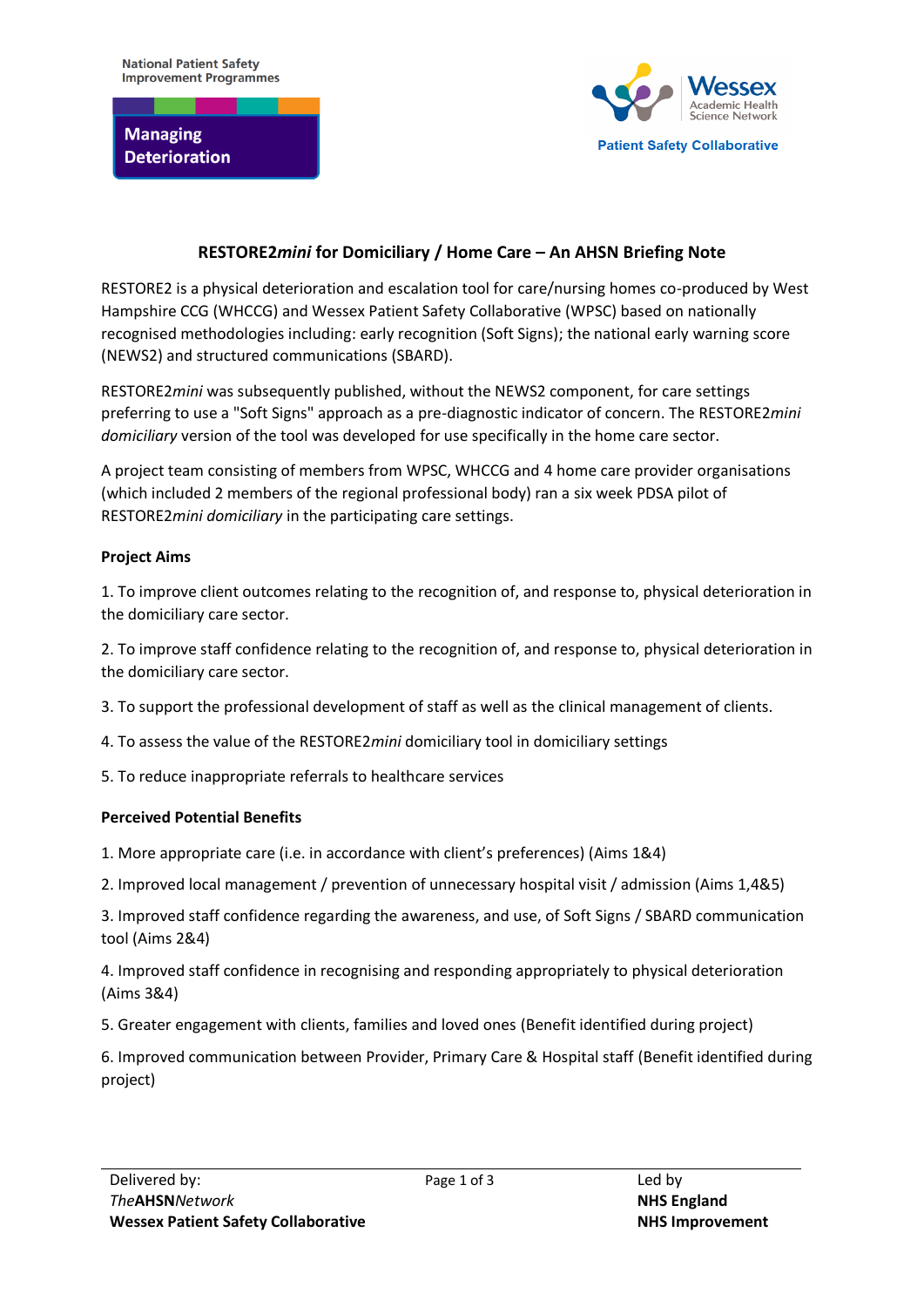

# **RESTORE2***mini* **for Domiciliary / Home Care – An AHSN Briefing Note**

RESTORE2 is a physical deterioration and escalation tool for care/nursing homes co-produced by West Hampshire CCG (WHCCG) and Wessex Patient Safety Collaborative (WPSC) based on nationally recognised methodologies including: early recognition (Soft Signs); the national early warning score (NEWS2) and structured communications (SBARD).

RESTORE2*mini* was subsequently published, without the NEWS2 component, for care settings preferring to use a "Soft Signs" approach as a pre-diagnostic indicator of concern. The RESTORE2*mini domiciliary* version of the tool was developed for use specifically in the home care sector.

A project team consisting of members from WPSC, WHCCG and 4 home care provider organisations (which included 2 members of the regional professional body) ran a six week PDSA pilot of RESTORE2*mini domiciliary* in the participating care settings.

## **Project Aims**

1. To improve client outcomes relating to the recognition of, and response to, physical deterioration in the domiciliary care sector.

2. To improve staff confidence relating to the recognition of, and response to, physical deterioration in the domiciliary care sector.

- 3. To support the professional development of staff as well as the clinical management of clients.
- 4. To assess the value of the RESTORE2*mini* domiciliary tool in domiciliary settings
- 5. To reduce inappropriate referrals to healthcare services

## **Perceived Potential Benefits**

- 1. More appropriate care (i.e. in accordance with client's preferences) (Aims 1&4)
- 2. Improved local management / prevention of unnecessary hospital visit / admission (Aims 1,4&5)

3. Improved staff confidence regarding the awareness, and use, of Soft Signs / SBARD communication tool (Aims 2&4)

4. Improved staff confidence in recognising and responding appropriately to physical deterioration (Aims 3&4)

5. Greater engagement with clients, families and loved ones (Benefit identified during project)

6. Improved communication between Provider, Primary Care & Hospital staff (Benefit identified during project)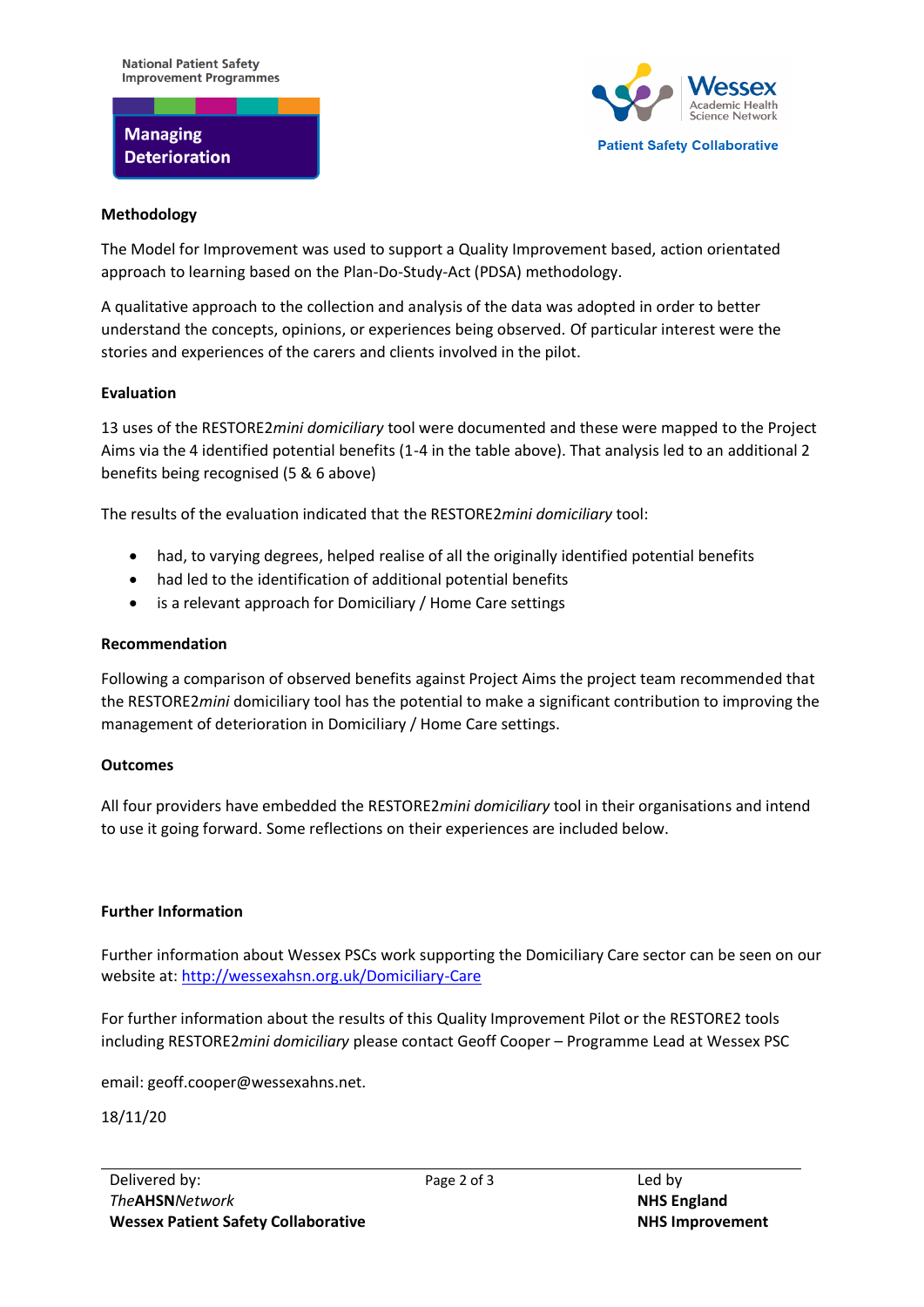# **Managing Deterioration**



#### **Methodology**

The Model for Improvement was used to support a Quality Improvement based, action orientated approach to learning based on the Plan-Do-Study-Act (PDSA) methodology.

A qualitative approach to the collection and analysis of the data was adopted in order to better understand the concepts, opinions, or experiences being observed. Of particular interest were the stories and experiences of the carers and clients involved in the pilot.

## **Evaluation**

13 uses of the RESTORE2*mini domiciliary* tool were documented and these were mapped to the Project Aims via the 4 identified potential benefits (1-4 in the table above). That analysis led to an additional 2 benefits being recognised (5 & 6 above)

The results of the evaluation indicated that the RESTORE2*mini domiciliary* tool:

- had, to varying degrees, helped realise of all the originally identified potential benefits
- had led to the identification of additional potential benefits
- is a relevant approach for Domiciliary / Home Care settings

## **Recommendation**

Following a comparison of observed benefits against Project Aims the project team recommended that the RESTORE2*mini* domiciliary tool has the potential to make a significant contribution to improving the management of deterioration in Domiciliary / Home Care settings.

## **Outcomes**

All four providers have embedded the RESTORE2*mini domiciliary* tool in their organisations and intend to use it going forward. Some reflections on their experiences are included below.

## **Further Information**

Further information about Wessex PSCs work supporting the Domiciliary Care sector can be seen on our website at:<http://wessexahsn.org.uk/Domiciliary-Care>

For further information about the results of this Quality Improvement Pilot or the RESTORE2 tools including RESTORE2*mini domiciliary* please contact Geoff Cooper – Programme Lead at Wessex PSC

email: geoff.cooper@wessexahns.net.

18/11/20